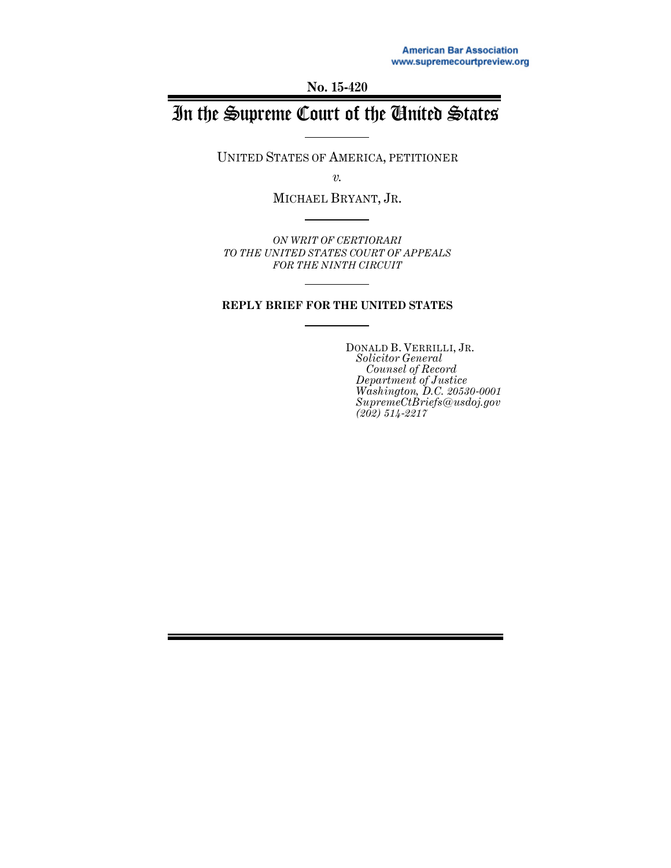**No. 15-420**

# In the Supreme Court of the United States

UNITED STATES OF AMERICA, PETITIONER

*v.*

MICHAEL BRYANT, JR.

*ON WRIT OF CERTIORARI TO THE UNITED STATES COURT OF APPEALS FOR THE NINTH CIRCUIT*

#### **REPLY BRIEF FOR THE UNITED STATES**

DONALD B. VERRILLI, JR. *Solicitor General Counsel of Record Department of Justice Washington, D.C. 20530-0001 SupremeCtBriefs@usdoj.gov (202) 514-2217*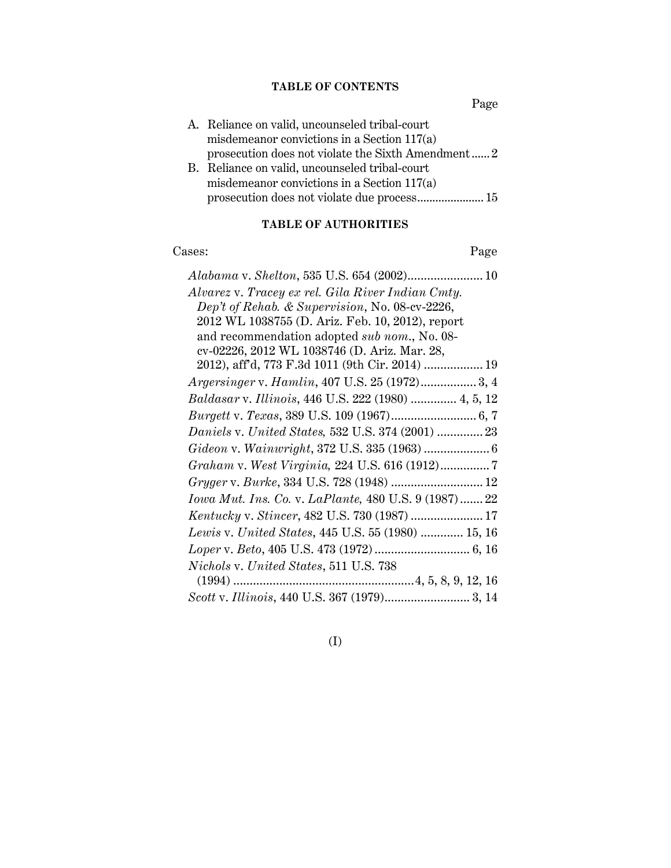### **TABLE OF CONTENTS**

Page

| A. Reliance on valid, uncounseled tribal-court     |
|----------------------------------------------------|
| misdemeanor convictions in a Section 117(a)        |
| prosecution does not violate the Sixth Amendment 2 |
| B. Reliance on valid, uncounseled tribal-court     |
| misdemeanor convictions in a Section $117(a)$      |

### **TABLE OF AUTHORITIES**

## Cases: Page

| Alvarez v. Tracey ex rel. Gila River Indian Cmty.            |
|--------------------------------------------------------------|
| Dep't of Rehab. & Supervision, No. 08-cv-2226,               |
| 2012 WL 1038755 (D. Ariz. Feb. 10, 2012), report             |
| and recommendation adopted sub nom., No. 08-                 |
| cv-02226, 2012 WL 1038746 (D. Ariz. Mar. 28,                 |
| 2012), aff'd, 773 F.3d 1011 (9th Cir. 2014)  19              |
| Argersinger v. Hamlin, 407 U.S. 25 (1972) 3, 4               |
| Baldasar v. Illinois, 446 U.S. 222 (1980)  4, 5, 12          |
|                                                              |
| Daniels v. United States, 532 U.S. 374 (2001)  23            |
|                                                              |
|                                                              |
| Gryger v. Burke, 334 U.S. 728 (1948)  12                     |
| <i>Iowa Mut. Ins. Co. v. LaPlante,</i> 480 U.S. 9 (1987)  22 |
| Kentucky v. Stincer, 482 U.S. 730 (1987)  17                 |
| Lewis v. United States, 445 U.S. 55 (1980)  15, 16           |
|                                                              |
| Nichols v. United States, 511 U.S. 738                       |
|                                                              |
|                                                              |

(I)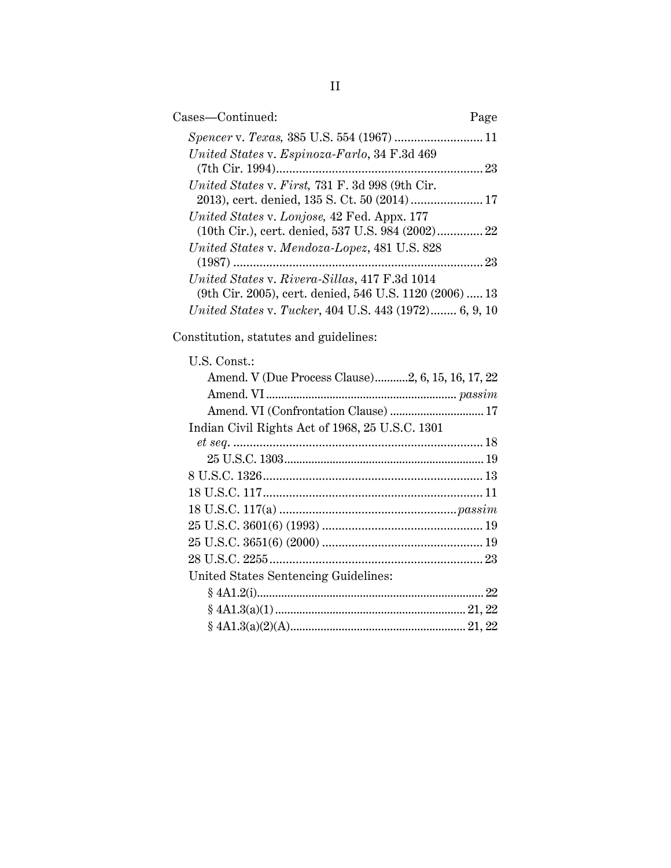| Cases-Continued:                                                                                         | Page |
|----------------------------------------------------------------------------------------------------------|------|
|                                                                                                          |      |
| United States v. Espinoza-Farlo, 34 F.3d 469                                                             | . 23 |
| United States v. First, 731 F. 3d 998 (9th Cir.<br>2013), cert. denied, 135 S. Ct. 50 (2014) 17          |      |
| United States v. Lonjose, 42 Fed. Appx. 177<br>(10th Cir.), cert. denied, 537 U.S. 984 (2002) 22         |      |
| United States v. Mendoza-Lopez, 481 U.S. 828                                                             | 23   |
| United States v. Rivera-Sillas, 417 F.3d 1014<br>(9th Cir. 2005), cert. denied, 546 U.S. 1120 (2006)  13 |      |
| United States v. Tucker, 404 U.S. 443 (1972) 6, 9, 10                                                    |      |

Constitution, statutes and guidelines:

| U.S. Const.:                                      |  |
|---------------------------------------------------|--|
| Amend. V (Due Process Clause)2, 6, 15, 16, 17, 22 |  |
|                                                   |  |
| Amend. VI (Confrontation Clause)  17              |  |
| Indian Civil Rights Act of 1968, 25 U.S.C. 1301   |  |
|                                                   |  |
|                                                   |  |
|                                                   |  |
|                                                   |  |
|                                                   |  |
|                                                   |  |
|                                                   |  |
|                                                   |  |
| United States Sentencing Guidelines:              |  |
|                                                   |  |
|                                                   |  |
|                                                   |  |
|                                                   |  |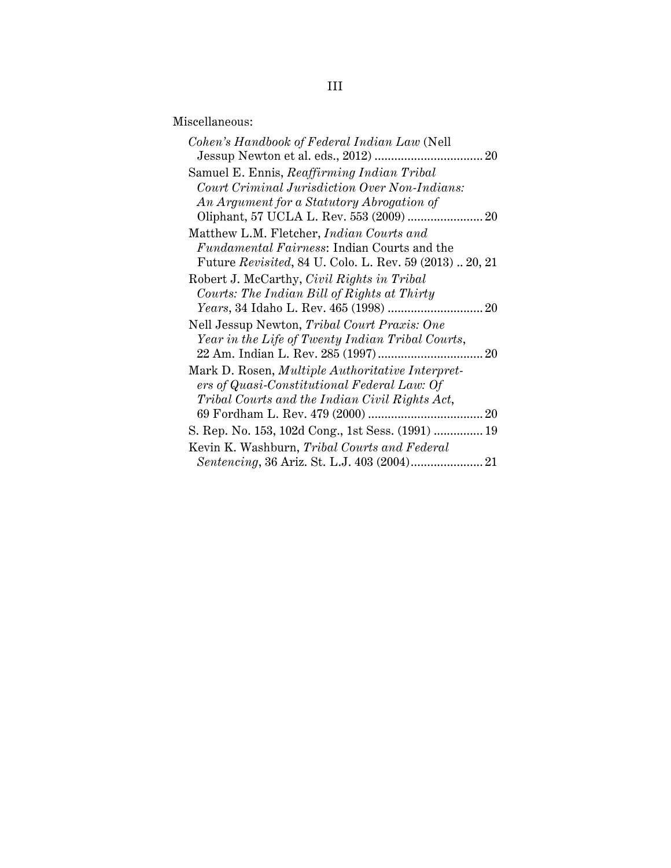Miscellaneous:

| Cohen's Handbook of Federal Indian Law (Nell             |
|----------------------------------------------------------|
|                                                          |
| Samuel E. Ennis, Reaffirming Indian Tribal               |
| Court Criminal Jurisdiction Over Non-Indians:            |
| An Argument for a Statutory Abrogation of                |
|                                                          |
| Matthew L.M. Fletcher, Indian Courts and                 |
| <i>Fundamental Fairness:</i> Indian Courts and the       |
| Future Revisited, 84 U. Colo. L. Rev. 59 (2013)  20, 21  |
| Robert J. McCarthy, Civil Rights in Tribal               |
| Courts: The Indian Bill of Rights at Thirty              |
|                                                          |
| Nell Jessup Newton, Tribal Court Praxis: One             |
| Year in the Life of Twenty Indian Tribal Courts,         |
|                                                          |
| Mark D. Rosen, <i>Multiple Authoritative Interpret</i> - |
| ers of Quasi-Constitutional Federal Law: Of              |
| Tribal Courts and the Indian Civil Rights Act,           |
|                                                          |
| S. Rep. No. 153, 102d Cong., 1st Sess. (1991)  19        |
| Kevin K. Washburn, Tribal Courts and Federal             |
|                                                          |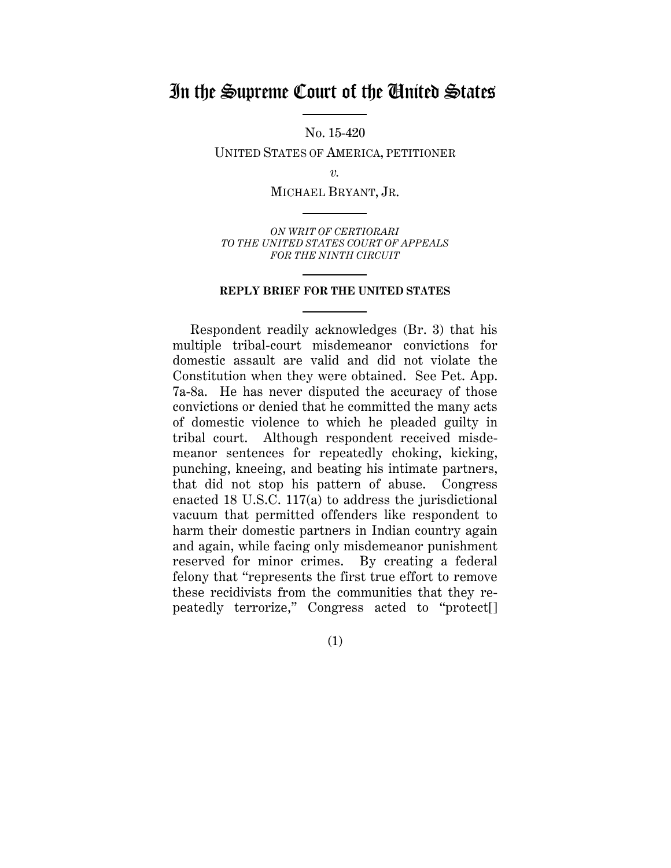# In the Supreme Court of the United States

No. 15-420

UNITED STATES OF AMERICA, PETITIONER

*v.*

MICHAEL BRYANT, JR.

*ON WRIT OF CERTIORARI TO THE UNITED STATES COURT OF APPEALS FOR THE NINTH CIRCUIT*

#### **REPLY BRIEF FOR THE UNITED STATES**

Respondent readily acknowledges (Br. 3) that his multiple tribal-court misdemeanor convictions for domestic assault are valid and did not violate the Constitution when they were obtained. See Pet. App. 7a-8a. He has never disputed the accuracy of those convictions or denied that he committed the many acts of domestic violence to which he pleaded guilty in tribal court. Although respondent received misdemeanor sentences for repeatedly choking, kicking, punching, kneeing, and beating his intimate partners, that did not stop his pattern of abuse. Congress enacted 18 U.S.C. 117(a) to address the jurisdictional vacuum that permitted offenders like respondent to harm their domestic partners in Indian country again and again, while facing only misdemeanor punishment reserved for minor crimes. By creating a federal felony that "represents the first true effort to remove these recidivists from the communities that they repeatedly terrorize," Congress acted to "protect[]

(1)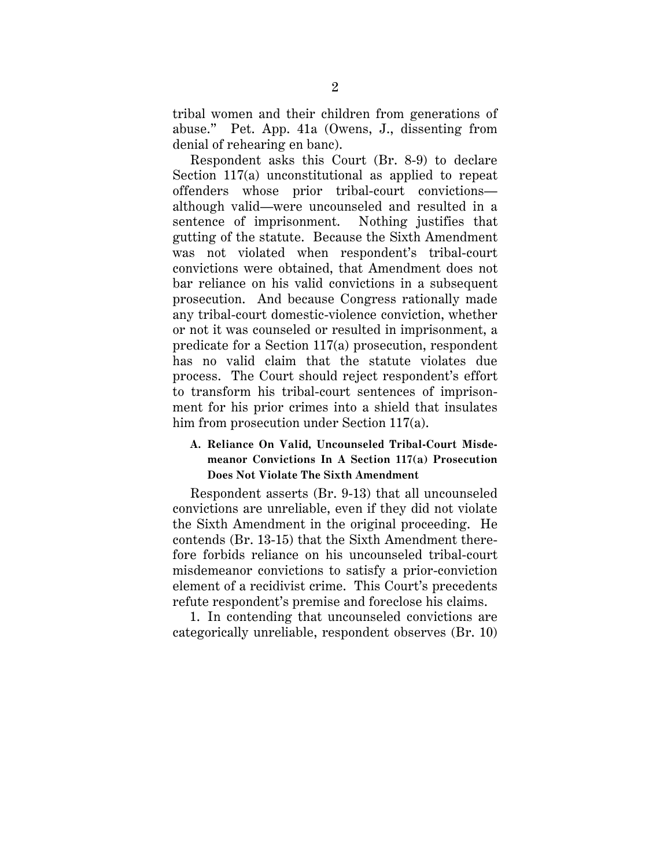tribal women and their children from generations of abuse." Pet. App. 41a (Owens, J., dissenting from denial of rehearing en banc).

Respondent asks this Court (Br. 8-9) to declare Section 117(a) unconstitutional as applied to repeat offenders whose prior tribal-court convictions although valid—were uncounseled and resulted in a sentence of imprisonment. Nothing justifies that gutting of the statute. Because the Sixth Amendment was not violated when respondent's tribal-court convictions were obtained, that Amendment does not bar reliance on his valid convictions in a subsequent prosecution. And because Congress rationally made any tribal-court domestic-violence conviction, whether or not it was counseled or resulted in imprisonment, a predicate for a Section 117(a) prosecution, respondent has no valid claim that the statute violates due process. The Court should reject respondent's effort to transform his tribal-court sentences of imprisonment for his prior crimes into a shield that insulates him from prosecution under Section 117(a).

#### <span id="page-5-0"></span>**A. Reliance On Valid, Uncounseled Tribal-Court Misdemeanor Convictions In A Section 117(a) Prosecution Does Not Violate The Sixth Amendment**

Respondent asserts (Br. 9-13) that all uncounseled convictions are unreliable, even if they did not violate the Sixth Amendment in the original proceeding. He contends (Br. 13-15) that the Sixth Amendment therefore forbids reliance on his uncounseled tribal-court misdemeanor convictions to satisfy a prior-conviction element of a recidivist crime. This Court's precedents refute respondent's premise and foreclose his claims.

1. In contending that uncounseled convictions are categorically unreliable, respondent observes (Br. 10)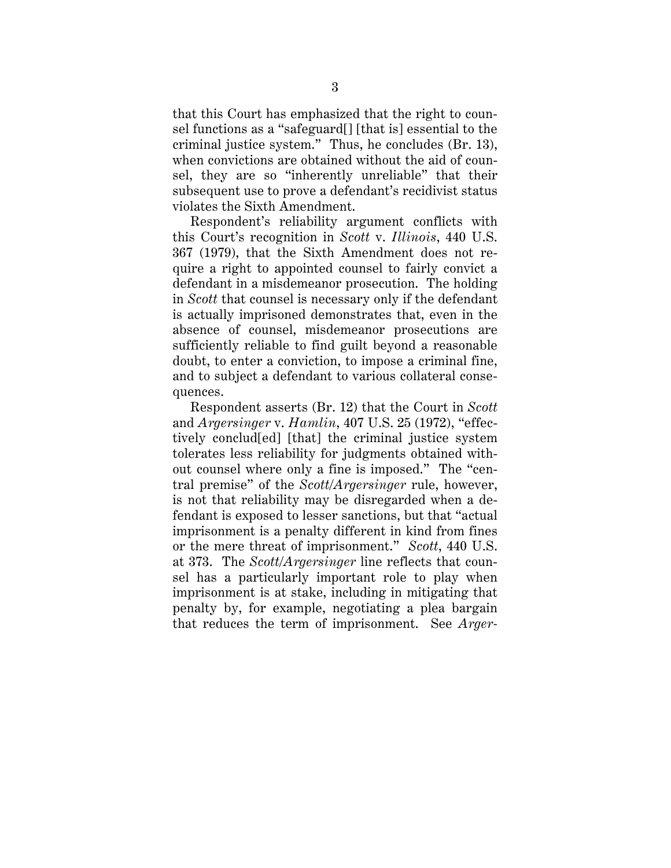that this Court has emphasized that the right to counsel functions as a "safeguard[] [that is] essential to the criminal justice system." Thus, he concludes (Br. 13), when convictions are obtained without the aid of counsel, they are so "inherently unreliable" that their subsequent use to prove a defendant's recidivist status violates the Sixth Amendment.

Respondent's reliability argument conflicts with this Court's recognition in *Scott* v. *Illinois*, 440 U.S. 367 (1979), that the Sixth Amendment does not require a right to appointed counsel to fairly convict a defendant in a misdemeanor prosecution. The holding in *Scott* that counsel is necessary only if the defendant is actually imprisoned demonstrates that, even in the absence of counsel, misdemeanor prosecutions are sufficiently reliable to find guilt beyond a reasonable doubt, to enter a conviction, to impose a criminal fine, and to subject a defendant to various collateral consequences.

Respondent asserts (Br. 12) that the Court in *Scott* and *Argersinger* v. *Hamlin*, 407 U.S. 25 (1972), "effectively conclud[ed] [that] the criminal justice system tolerates less reliability for judgments obtained without counsel where only a fine is imposed." The "central premise" of the *Scott/Argersinger* rule, however, is not that reliability may be disregarded when a defendant is exposed to lesser sanctions, but that "actual imprisonment is a penalty different in kind from fines or the mere threat of imprisonment." *Scott*, 440 U.S. at 373. The *Scott*/*Argersinger* line reflects that counsel has a particularly important role to play when imprisonment is at stake, including in mitigating that penalty by, for example, negotiating a plea bargain that reduces the term of imprisonment. See *Arger-*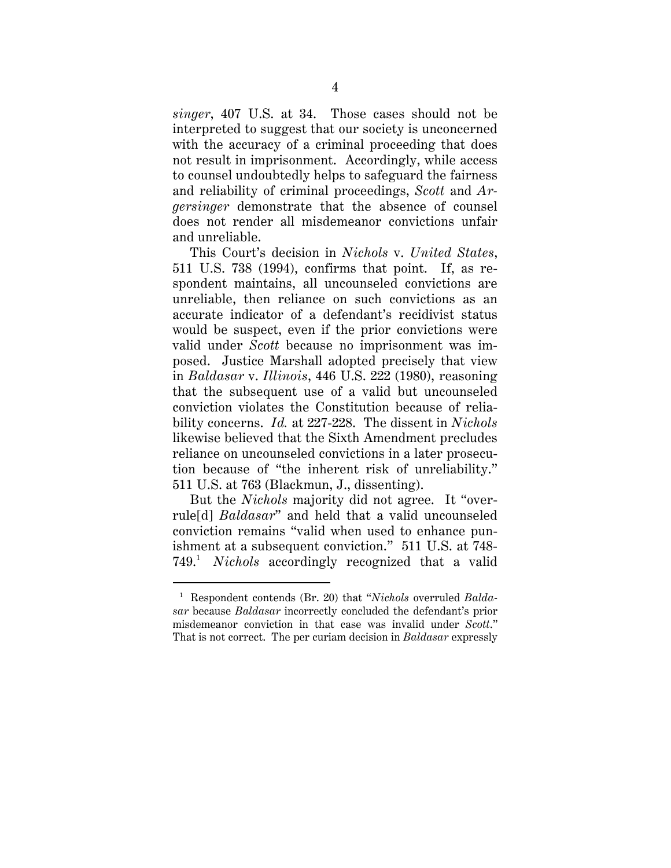*singer*, 407 U.S. at 34. Those cases should not be interpreted to suggest that our society is unconcerned with the accuracy of a criminal proceeding that does not result in imprisonment. Accordingly, while access to counsel undoubtedly helps to safeguard the fairness and reliability of criminal proceedings, *Scott* and *Argersinger* demonstrate that the absence of counsel does not render all misdemeanor convictions unfair and unreliable.

This Court's decision in *Nichols* v. *United States*, 511 U.S. 738 (1994), confirms that point. If, as respondent maintains, all uncounseled convictions are unreliable, then reliance on such convictions as an accurate indicator of a defendant's recidivist status would be suspect, even if the prior convictions were valid under *Scott* because no imprisonment was imposed. Justice Marshall adopted precisely that view in *Baldasar* v. *Illinois*, 446 U.S. 222 (1980), reasoning that the subsequent use of a valid but uncounseled conviction violates the Constitution because of reliability concerns. *Id.* at 227-228. The dissent in *Nichols* likewise believed that the Sixth Amendment precludes reliance on uncounseled convictions in a later prosecution because of "the inherent risk of unreliability." 511 U.S. at 763 (Blackmun, J., dissenting).

But the *Nichols* majority did not agree. It "overrule[d] *Baldasar*" and held that a valid uncounseled conviction remains "valid when used to enhance punishment at a subsequent conviction." 511 U.S. at 748- 749. <sup>1</sup> [1](#page-7-0) *Nichols* accordingly recognized that a valid

<span id="page-7-0"></span> <sup>1</sup> Respondent contends (Br. 20) that "*Nichols* overruled *Baldasar* because *Baldasar* incorrectly concluded the defendant's prior misdemeanor conviction in that case was invalid under *Scott*." That is not correct. The per curiam decision in *Baldasar* expressly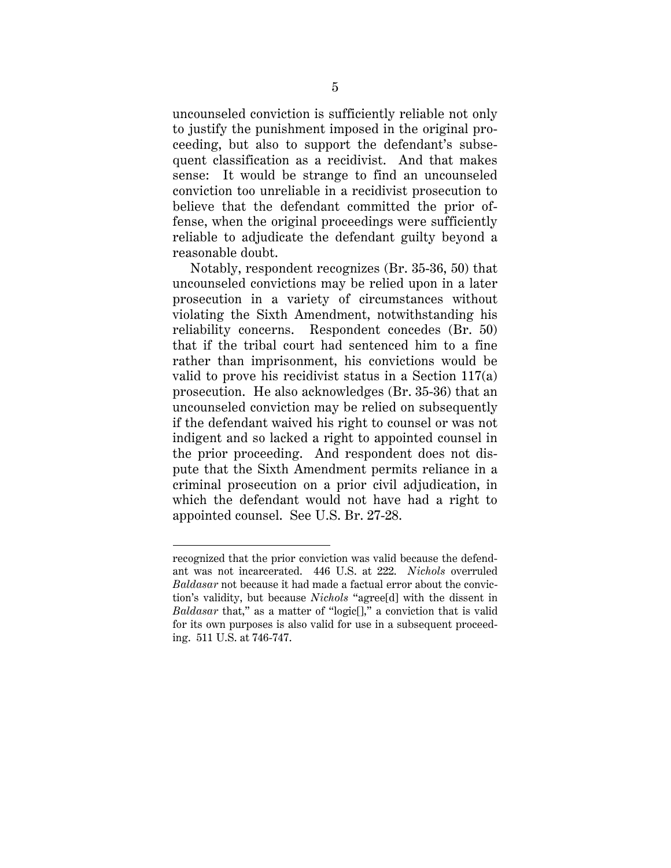uncounseled conviction is sufficiently reliable not only to justify the punishment imposed in the original proceeding, but also to support the defendant's subsequent classification as a recidivist. And that makes sense: It would be strange to find an uncounseled conviction too unreliable in a recidivist prosecution to believe that the defendant committed the prior offense, when the original proceedings were sufficiently reliable to adjudicate the defendant guilty beyond a reasonable doubt.

Notably, respondent recognizes (Br. 35-36, 50) that uncounseled convictions may be relied upon in a later prosecution in a variety of circumstances without violating the Sixth Amendment, notwithstanding his reliability concerns. Respondent concedes (Br. 50) that if the tribal court had sentenced him to a fine rather than imprisonment, his convictions would be valid to prove his recidivist status in a Section 117(a) prosecution. He also acknowledges (Br. 35-36) that an uncounseled conviction may be relied on subsequently if the defendant waived his right to counsel or was not indigent and so lacked a right to appointed counsel in the prior proceeding. And respondent does not dispute that the Sixth Amendment permits reliance in a criminal prosecution on a prior civil adjudication, in which the defendant would not have had a right to appointed counsel. See U.S. Br. 27-28.

 $\overline{a}$ 

recognized that the prior conviction was valid because the defendant was not incarcerated. 446 U.S. at 222. *Nichols* overruled *Baldasar* not because it had made a factual error about the conviction's validity, but because *Nichols* "agree[d] with the dissent in *Baldasar* that," as a matter of "logic<sup>[]</sup>," a conviction that is valid for its own purposes is also valid for use in a subsequent proceeding. 511 U.S. at 746-747.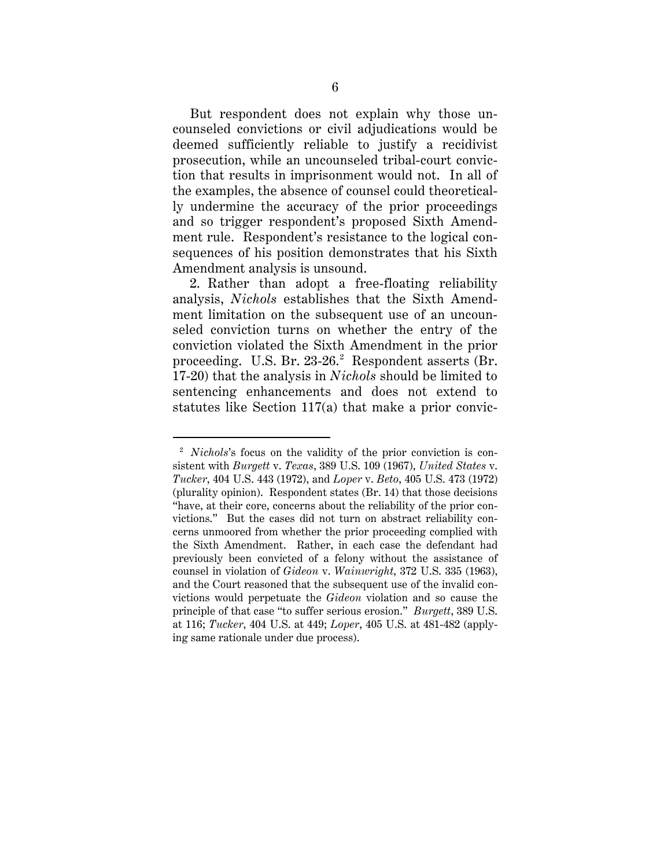But respondent does not explain why those uncounseled convictions or civil adjudications would be deemed sufficiently reliable to justify a recidivist prosecution, while an uncounseled tribal-court conviction that results in imprisonment would not. In all of the examples, the absence of counsel could theoretically undermine the accuracy of the prior proceedings and so trigger respondent's proposed Sixth Amendment rule. Respondent's resistance to the logical consequences of his position demonstrates that his Sixth Amendment analysis is unsound.

2. Rather than adopt a free-floating reliability analysis, *Nichols* establishes that the Sixth Amendment limitation on the subsequent use of an uncounseled conviction turns on whether the entry of the conviction violated the Sixth Amendment in the prior proceeding. U.S. Br.  $23-26.2$  $23-26.2$  Respondent asserts (Br. 17-20) that the analysis in *Nichols* should be limited to sentencing enhancements and does not extend to statutes like Section 117(a) that make a prior convic-

<span id="page-9-0"></span><sup>&</sup>lt;sup>2</sup> *Nichols*'s focus on the validity of the prior conviction is consistent with *Burgett* v. *Texas*, 389 U.S. 109 (1967), *United States* v. *Tucker*, 404 U.S. 443 (1972), and *Loper* v. *Beto*, 405 U.S. 473 (1972) (plurality opinion). Respondent states (Br. 14) that those decisions "have, at their core, concerns about the reliability of the prior convictions." But the cases did not turn on abstract reliability concerns unmoored from whether the prior proceeding complied with the Sixth Amendment. Rather, in each case the defendant had previously been convicted of a felony without the assistance of counsel in violation of *Gideon* v. *Wainwright*, 372 U.S. 335 (1963), and the Court reasoned that the subsequent use of the invalid convictions would perpetuate the *Gideon* violation and so cause the principle of that case "to suffer serious erosion." *Burgett*, 389 U.S. at 116; *Tucker*, 404 U.S. at 449; *Loper*, 405 U.S. at 481-482 (applying same rationale under due process).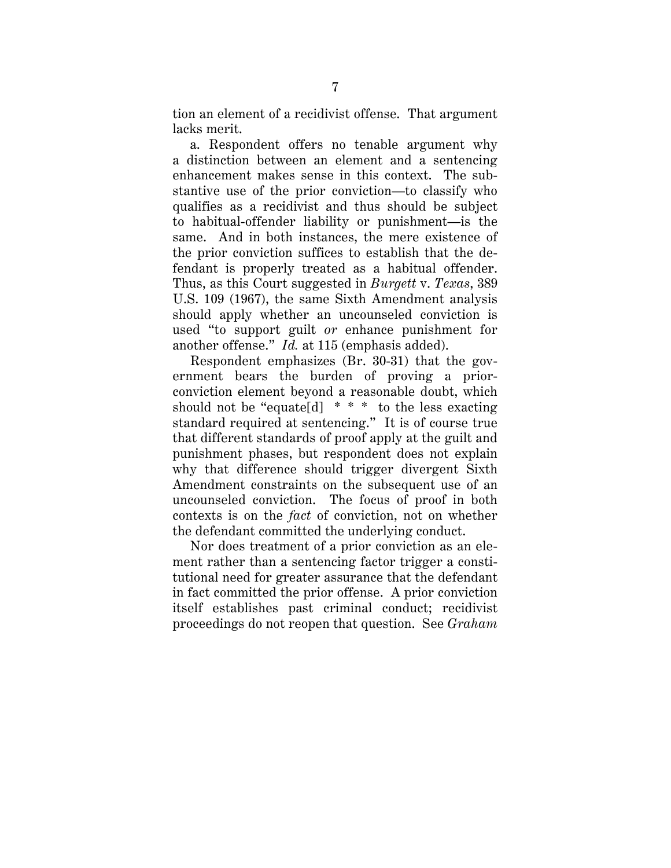tion an element of a recidivist offense. That argument lacks merit.

a. Respondent offers no tenable argument why a distinction between an element and a sentencing enhancement makes sense in this context. The substantive use of the prior conviction—to classify who qualifies as a recidivist and thus should be subject to habitual-offender liability or punishment—is the same. And in both instances, the mere existence of the prior conviction suffices to establish that the defendant is properly treated as a habitual offender. Thus, as this Court suggested in *Burgett* v. *Texas*, 389 U.S. 109 (1967), the same Sixth Amendment analysis should apply whether an uncounseled conviction is used "to support guilt *or* enhance punishment for another offense." *Id.* at 115 (emphasis added).

Respondent emphasizes (Br. 30-31) that the government bears the burden of proving a priorconviction element beyond a reasonable doubt, which should not be "equate d]  $* * *$  to the less exacting standard required at sentencing." It is of course true that different standards of proof apply at the guilt and punishment phases, but respondent does not explain why that difference should trigger divergent Sixth Amendment constraints on the subsequent use of an uncounseled conviction. The focus of proof in both contexts is on the *fact* of conviction, not on whether the defendant committed the underlying conduct.

Nor does treatment of a prior conviction as an element rather than a sentencing factor trigger a constitutional need for greater assurance that the defendant in fact committed the prior offense. A prior conviction itself establishes past criminal conduct; recidivist proceedings do not reopen that question. See *Graham*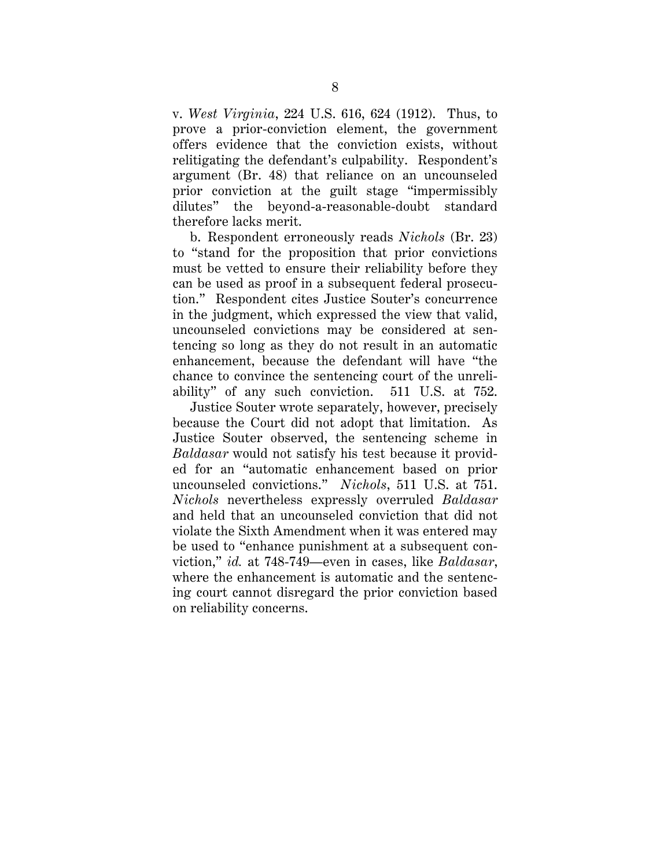v. *West Virginia*, 224 U.S. 616, 624 (1912). Thus, to prove a prior-conviction element, the government offers evidence that the conviction exists, without relitigating the defendant's culpability. Respondent's argument (Br. 48) that reliance on an uncounseled prior conviction at the guilt stage "impermissibly dilutes" the beyond-a-reasonable-doubt standard therefore lacks merit.

b. Respondent erroneously reads *Nichols* (Br. 23) to "stand for the proposition that prior convictions must be vetted to ensure their reliability before they can be used as proof in a subsequent federal prosecution." Respondent cites Justice Souter's concurrence in the judgment, which expressed the view that valid, uncounseled convictions may be considered at sentencing so long as they do not result in an automatic enhancement, because the defendant will have "the chance to convince the sentencing court of the unreliability" of any such conviction. 511 U.S. at 752.

Justice Souter wrote separately, however, precisely because the Court did not adopt that limitation. As Justice Souter observed, the sentencing scheme in *Baldasar* would not satisfy his test because it provided for an "automatic enhancement based on prior uncounseled convictions." *Nichols*, 511 U.S. at 751. *Nichols* nevertheless expressly overruled *Baldasar* and held that an uncounseled conviction that did not violate the Sixth Amendment when it was entered may be used to "enhance punishment at a subsequent conviction," *id.* at 748-749—even in cases, like *Baldasar*, where the enhancement is automatic and the sentencing court cannot disregard the prior conviction based on reliability concerns.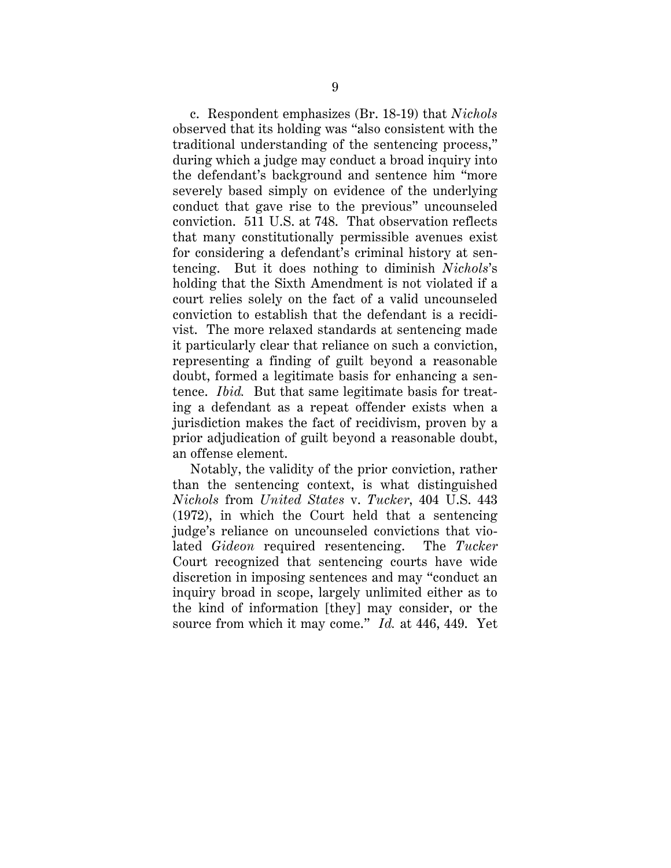c. Respondent emphasizes (Br. 18-19) that *Nichols* observed that its holding was "also consistent with the traditional understanding of the sentencing process," during which a judge may conduct a broad inquiry into the defendant's background and sentence him "more severely based simply on evidence of the underlying conduct that gave rise to the previous" uncounseled conviction. 511 U.S. at 748. That observation reflects that many constitutionally permissible avenues exist for considering a defendant's criminal history at sentencing. But it does nothing to diminish *Nichols*'s holding that the Sixth Amendment is not violated if a court relies solely on the fact of a valid uncounseled conviction to establish that the defendant is a recidivist. The more relaxed standards at sentencing made it particularly clear that reliance on such a conviction, representing a finding of guilt beyond a reasonable doubt, formed a legitimate basis for enhancing a sentence. *Ibid.* But that same legitimate basis for treating a defendant as a repeat offender exists when a jurisdiction makes the fact of recidivism, proven by a prior adjudication of guilt beyond a reasonable doubt, an offense element.

Notably, the validity of the prior conviction, rather than the sentencing context, is what distinguished *Nichols* from *United States* v. *Tucker*, 404 U.S. 443 (1972), in which the Court held that a sentencing judge's reliance on uncounseled convictions that violated *Gideon* required resentencing. The *Tucker*  Court recognized that sentencing courts have wide discretion in imposing sentences and may "conduct an inquiry broad in scope, largely unlimited either as to the kind of information [they] may consider, or the source from which it may come." *Id.* at 446, 449. Yet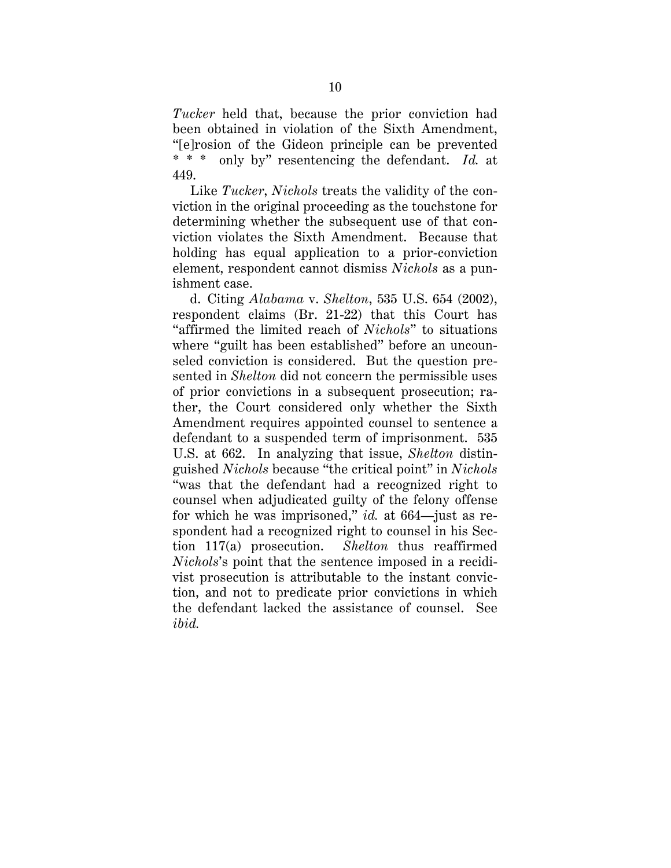*Tucker* held that, because the prior conviction had been obtained in violation of the Sixth Amendment, "[e]rosion of the Gideon principle can be prevented \* \* \* only by" resentencing the defendant. *Id.* at 449.

Like *Tucker*, *Nichols* treats the validity of the conviction in the original proceeding as the touchstone for determining whether the subsequent use of that conviction violates the Sixth Amendment. Because that holding has equal application to a prior-conviction element, respondent cannot dismiss *Nichols* as a punishment case.

d. Citing *Alabama* v. *Shelton*, 535 U.S. 654 (2002), respondent claims (Br. 21-22) that this Court has "affirmed the limited reach of *Nichols*" to situations where "guilt has been established" before an uncounseled conviction is considered. But the question presented in *Shelton* did not concern the permissible uses of prior convictions in a subsequent prosecution; rather, the Court considered only whether the Sixth Amendment requires appointed counsel to sentence a defendant to a suspended term of imprisonment. 535 U.S. at 662. In analyzing that issue, *Shelton* distinguished *Nichols* because "the critical point" in *Nichols*  "was that the defendant had a recognized right to counsel when adjudicated guilty of the felony offense for which he was imprisoned," *id.* at 664—just as respondent had a recognized right to counsel in his Section 117(a) prosecution. *Shelton* thus reaffirmed *Nichols*'s point that the sentence imposed in a recidivist prosecution is attributable to the instant conviction, and not to predicate prior convictions in which the defendant lacked the assistance of counsel. See *ibid.*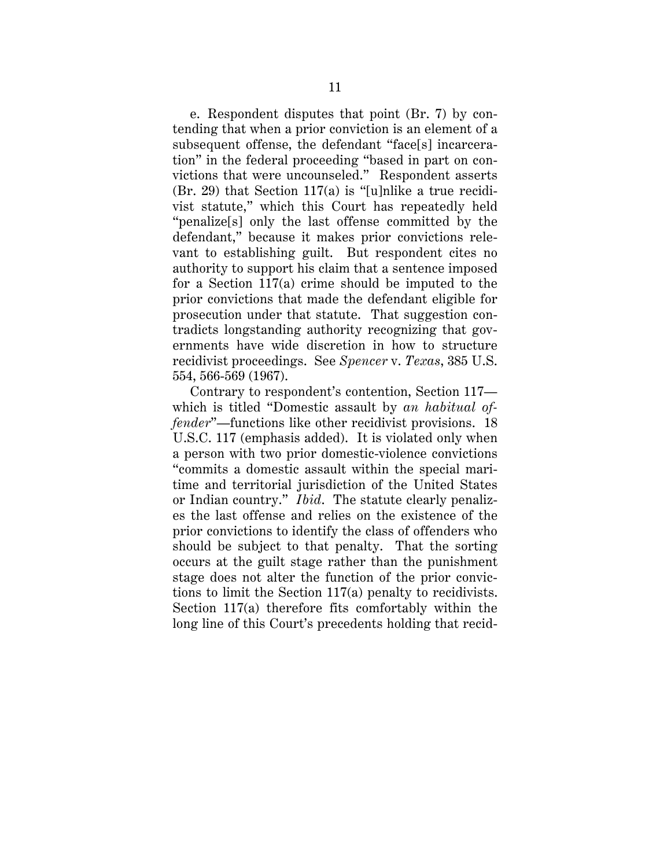e. Respondent disputes that point (Br. 7) by contending that when a prior conviction is an element of a subsequent offense, the defendant "face[s] incarceration" in the federal proceeding "based in part on convictions that were uncounseled." Respondent asserts  $(Br. 29)$  that Section 117(a) is "[u]nlike a true recidivist statute," which this Court has repeatedly held "penalize[s] only the last offense committed by the defendant," because it makes prior convictions relevant to establishing guilt. But respondent cites no authority to support his claim that a sentence imposed for a Section 117(a) crime should be imputed to the prior convictions that made the defendant eligible for prosecution under that statute. That suggestion contradicts longstanding authority recognizing that governments have wide discretion in how to structure recidivist proceedings. See *Spencer* v. *Texas*, 385 U.S. 554, 566-569 (1967).

Contrary to respondent's contention, Section 117 which is titled "Domestic assault by *an habitual offender*"—functions like other recidivist provisions. 18 U.S.C. 117 (emphasis added). It is violated only when a person with two prior domestic-violence convictions "commits a domestic assault within the special maritime and territorial jurisdiction of the United States or Indian country." *Ibid*. The statute clearly penalizes the last offense and relies on the existence of the prior convictions to identify the class of offenders who should be subject to that penalty. That the sorting occurs at the guilt stage rather than the punishment stage does not alter the function of the prior convictions to limit the Section 117(a) penalty to recidivists. Section 117(a) therefore fits comfortably within the long line of this Court's precedents holding that recid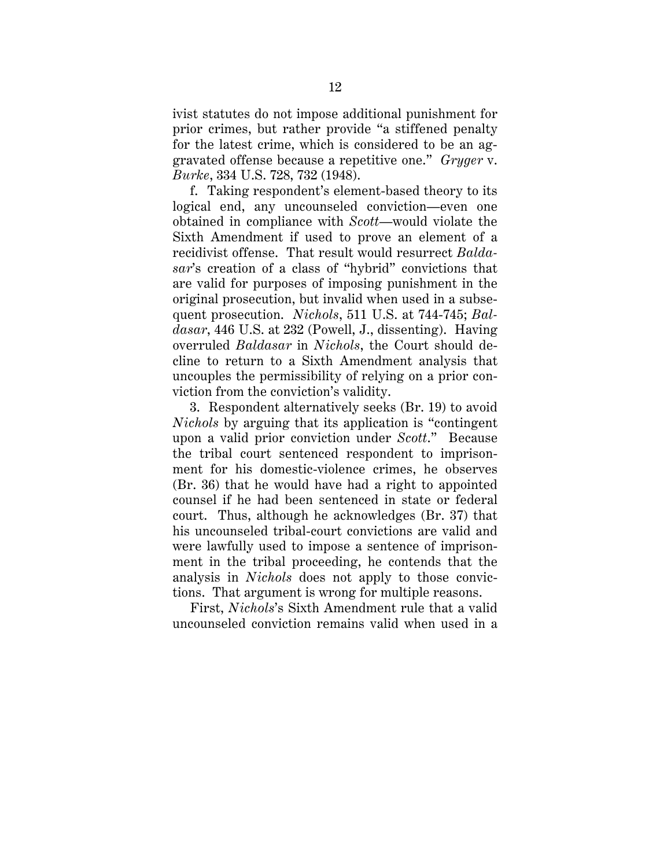ivist statutes do not impose additional punishment for prior crimes, but rather provide "a stiffened penalty for the latest crime, which is considered to be an aggravated offense because a repetitive one." *Gryger* v. *Burke*, 334 U.S. 728, 732 (1948).

f. Taking respondent's element-based theory to its logical end, any uncounseled conviction—even one obtained in compliance with *Scott*—would violate the Sixth Amendment if used to prove an element of a recidivist offense. That result would resurrect *Baldasar*'s creation of a class of "hybrid" convictions that are valid for purposes of imposing punishment in the original prosecution, but invalid when used in a subsequent prosecution. *Nichols*, 511 U.S. at 744-745; *Baldasar*, 446 U.S. at 232 (Powell, J., dissenting). Having overruled *Baldasar* in *Nichols*, the Court should decline to return to a Sixth Amendment analysis that uncouples the permissibility of relying on a prior conviction from the conviction's validity.

3. Respondent alternatively seeks (Br. 19) to avoid *Nichols* by arguing that its application is "contingent upon a valid prior conviction under *Scott*." Because the tribal court sentenced respondent to imprisonment for his domestic-violence crimes, he observes (Br. 36) that he would have had a right to appointed counsel if he had been sentenced in state or federal court. Thus, although he acknowledges (Br. 37) that his uncounseled tribal-court convictions are valid and were lawfully used to impose a sentence of imprisonment in the tribal proceeding, he contends that the analysis in *Nichols* does not apply to those convictions. That argument is wrong for multiple reasons.

First, *Nichols*'s Sixth Amendment rule that a valid uncounseled conviction remains valid when used in a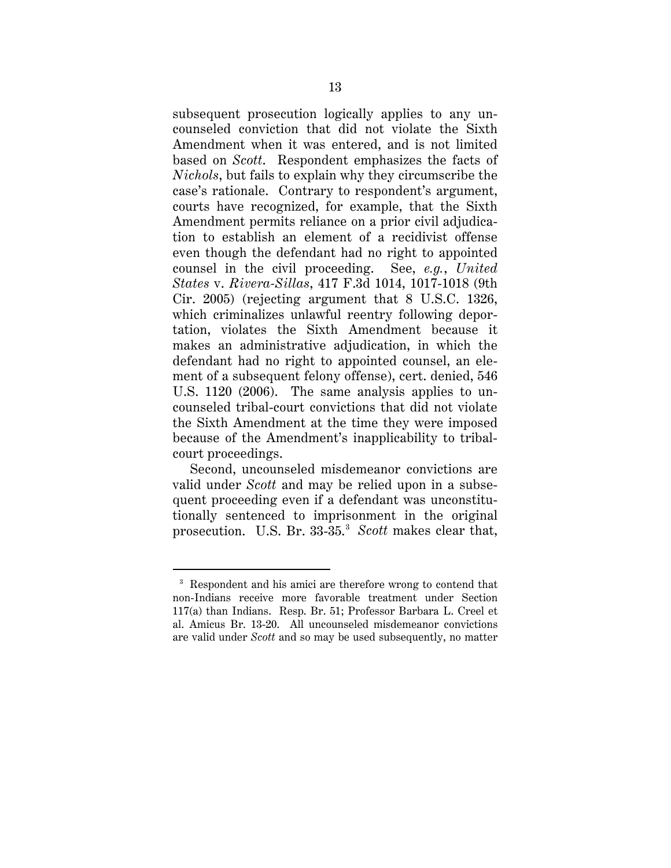subsequent prosecution logically applies to any uncounseled conviction that did not violate the Sixth Amendment when it was entered, and is not limited based on *Scott*. Respondent emphasizes the facts of *Nichols*, but fails to explain why they circumscribe the case's rationale. Contrary to respondent's argument, courts have recognized, for example, that the Sixth Amendment permits reliance on a prior civil adjudication to establish an element of a recidivist offense even though the defendant had no right to appointed counsel in the civil proceeding. See, *e.g.*, *United States* v. *Rivera-Sillas*, 417 F.3d 1014, 1017-1018 (9th Cir. 2005) (rejecting argument that 8 U.S.C. 1326, which criminalizes unlawful reentry following deportation, violates the Sixth Amendment because it makes an administrative adjudication, in which the defendant had no right to appointed counsel, an element of a subsequent felony offense), cert. denied, 546 U.S. 1120 (2006). The same analysis applies to uncounseled tribal-court convictions that did not violate the Sixth Amendment at the time they were imposed because of the Amendment's inapplicability to tribalcourt proceedings.

Second, uncounseled misdemeanor convictions are valid under *Scott* and may be relied upon in a subsequent proceeding even if a defendant was unconstitutionally sentenced to imprisonment in the original prosecution. U.S. Br. 33-35. [3](#page-16-0) *Scott* makes clear that,

<span id="page-16-0"></span> <sup>3</sup> Respondent and his amici are therefore wrong to contend that non-Indians receive more favorable treatment under Section 117(a) than Indians. Resp. Br. 51; Professor Barbara L. Creel et al. Amicus Br. 13-20. All uncounseled misdemeanor convictions are valid under *Scott* and so may be used subsequently, no matter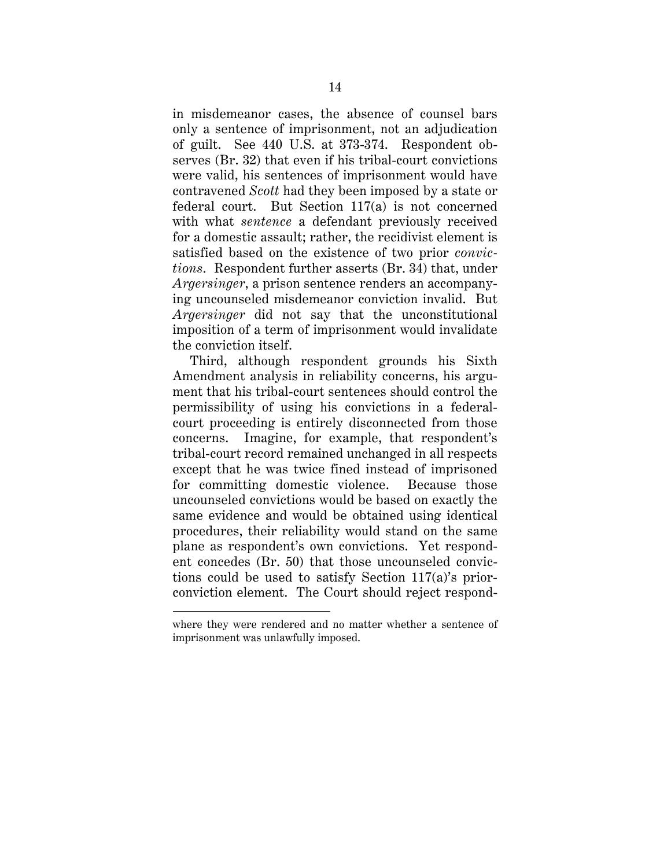in misdemeanor cases, the absence of counsel bars only a sentence of imprisonment, not an adjudication of guilt. See 440 U.S. at 373-374. Respondent observes (Br. 32) that even if his tribal-court convictions were valid, his sentences of imprisonment would have contravened *Scott* had they been imposed by a state or federal court. But Section 117(a) is not concerned with what *sentence* a defendant previously received for a domestic assault; rather, the recidivist element is satisfied based on the existence of two prior *convictions*. Respondent further asserts (Br. 34) that, under *Argersinger*, a prison sentence renders an accompanying uncounseled misdemeanor conviction invalid. But *Argersinger* did not say that the unconstitutional imposition of a term of imprisonment would invalidate the conviction itself.

Third, although respondent grounds his Sixth Amendment analysis in reliability concerns, his argument that his tribal-court sentences should control the permissibility of using his convictions in a federalcourt proceeding is entirely disconnected from those concerns. Imagine, for example, that respondent's tribal-court record remained unchanged in all respects except that he was twice fined instead of imprisoned for committing domestic violence. Because those uncounseled convictions would be based on exactly the same evidence and would be obtained using identical procedures, their reliability would stand on the same plane as respondent's own convictions. Yet respondent concedes (Br. 50) that those uncounseled convictions could be used to satisfy Section 117(a)'s priorconviction element. The Court should reject respond-

 $\ddot{\phantom{a}}$ 

where they were rendered and no matter whether a sentence of imprisonment was unlawfully imposed.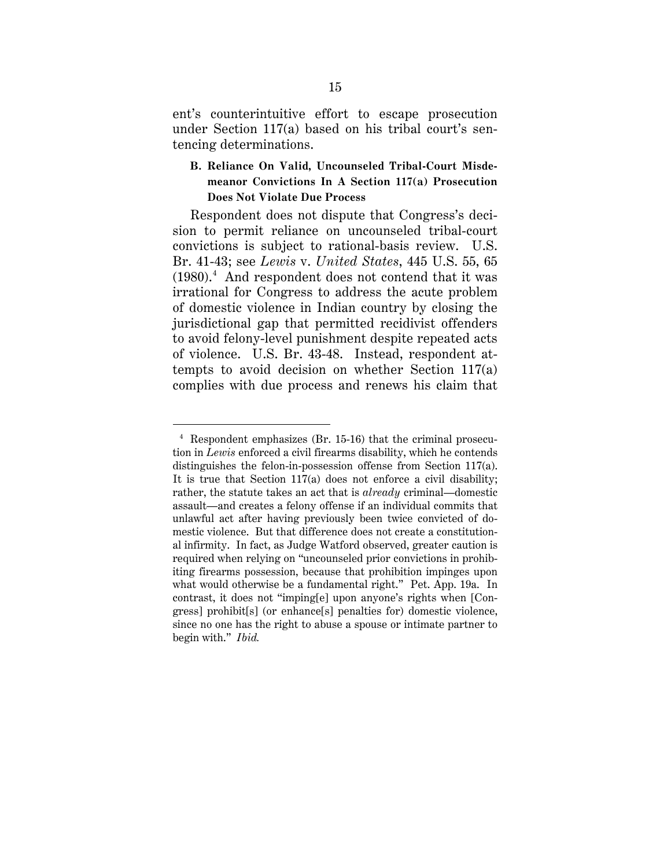ent's counterintuitive effort to escape prosecution under Section 117(a) based on his tribal court's sentencing determinations.

#### <span id="page-18-0"></span>**B. Reliance On Valid, Uncounseled Tribal-Court Misdemeanor Convictions In A Section 117(a) Prosecution Does Not Violate Due Process**

Respondent does not dispute that Congress's decision to permit reliance on uncounseled tribal-court convictions is subject to rational-basis review. U.S. Br. 41-43; see *Lewis* v. *United States*, 445 U.S. 55, 65 (1980).[4](#page-18-1) And respondent does not contend that it was irrational for Congress to address the acute problem of domestic violence in Indian country by closing the jurisdictional gap that permitted recidivist offenders to avoid felony-level punishment despite repeated acts of violence. U.S. Br. 43-48. Instead, respondent attempts to avoid decision on whether Section 117(a) complies with due process and renews his claim that

<span id="page-18-1"></span> <sup>4</sup> Respondent emphasizes (Br. 15-16) that the criminal prosecution in *Lewis* enforced a civil firearms disability, which he contends distinguishes the felon-in-possession offense from Section 117(a). It is true that Section 117(a) does not enforce a civil disability; rather, the statute takes an act that is *already* criminal—domestic assault—and creates a felony offense if an individual commits that unlawful act after having previously been twice convicted of domestic violence. But that difference does not create a constitutional infirmity. In fact, as Judge Watford observed, greater caution is required when relying on "uncounseled prior convictions in prohibiting firearms possession, because that prohibition impinges upon what would otherwise be a fundamental right." Pet. App. 19a. In contrast, it does not "imping[e] upon anyone's rights when [Congress] prohibit[s] (or enhance[s] penalties for) domestic violence, since no one has the right to abuse a spouse or intimate partner to begin with." *Ibid.*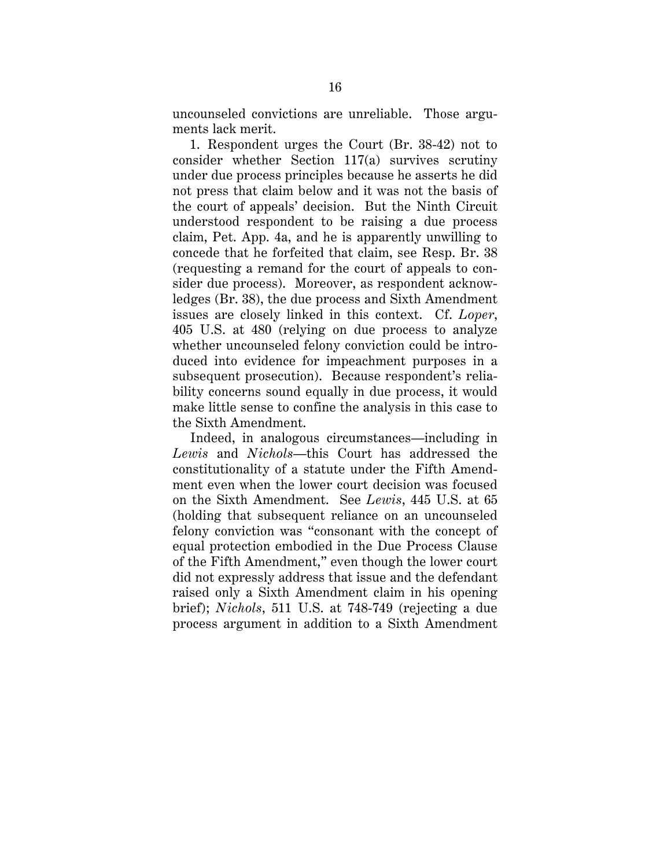uncounseled convictions are unreliable. Those arguments lack merit.

1. Respondent urges the Court (Br. 38-42) not to consider whether Section 117(a) survives scrutiny under due process principles because he asserts he did not press that claim below and it was not the basis of the court of appeals' decision. But the Ninth Circuit understood respondent to be raising a due process claim, Pet. App. 4a, and he is apparently unwilling to concede that he forfeited that claim, see Resp. Br. 38 (requesting a remand for the court of appeals to consider due process). Moreover, as respondent acknowledges (Br. 38), the due process and Sixth Amendment issues are closely linked in this context. Cf. *Loper*, 405 U.S. at 480 (relying on due process to analyze whether uncounseled felony conviction could be introduced into evidence for impeachment purposes in a subsequent prosecution). Because respondent's reliability concerns sound equally in due process, it would make little sense to confine the analysis in this case to the Sixth Amendment.

Indeed, in analogous circumstances—including in *Lewis* and *Nichols*—this Court has addressed the constitutionality of a statute under the Fifth Amendment even when the lower court decision was focused on the Sixth Amendment. See *Lewis*, 445 U.S. at 65 (holding that subsequent reliance on an uncounseled felony conviction was "consonant with the concept of equal protection embodied in the Due Process Clause of the Fifth Amendment," even though the lower court did not expressly address that issue and the defendant raised only a Sixth Amendment claim in his opening brief); *Nichols*, 511 U.S. at 748-749 (rejecting a due process argument in addition to a Sixth Amendment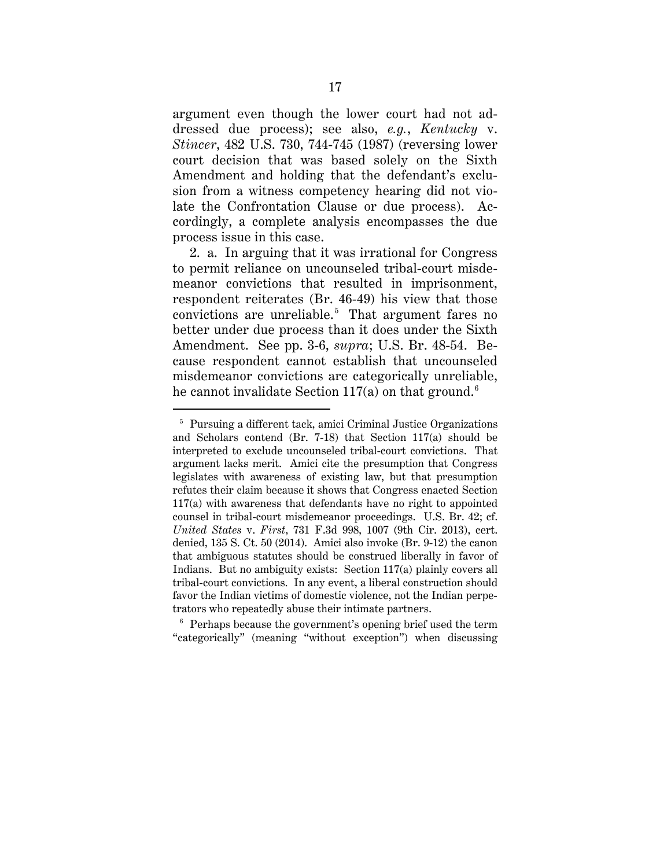argument even though the lower court had not addressed due process); see also, *e.g.*, *Kentucky* v. *Stincer*, 482 U.S. 730, 744-745 (1987) (reversing lower court decision that was based solely on the Sixth Amendment and holding that the defendant's exclusion from a witness competency hearing did not violate the Confrontation Clause or due process). Accordingly, a complete analysis encompasses the due process issue in this case.

2. a. In arguing that it was irrational for Congress to permit reliance on uncounseled tribal-court misdemeanor convictions that resulted in imprisonment, respondent reiterates (Br. 46-49) his view that those convictions are unreliable.<sup>[5](#page-20-0)</sup> That argument fares no better under due process than it does under the Sixth Amendment. See pp. 3-6, *supra*; U.S. Br. 48-54. Because respondent cannot establish that uncounseled misdemeanor convictions are categorically unreliable, he cannot invalidate Section 117(a) on that ground.<sup>[6](#page-20-1)</sup>

<span id="page-20-0"></span> <sup>5</sup> Pursuing a different tack, amici Criminal Justice Organizations and Scholars contend (Br. 7-18) that Section 117(a) should be interpreted to exclude uncounseled tribal-court convictions. That argument lacks merit. Amici cite the presumption that Congress legislates with awareness of existing law, but that presumption refutes their claim because it shows that Congress enacted Section 117(a) with awareness that defendants have no right to appointed counsel in tribal-court misdemeanor proceedings. U.S. Br. 42; cf. *United States* v. *First*, 731 F.3d 998, 1007 (9th Cir. 2013), cert. denied, 135 S. Ct. 50 (2014). Amici also invoke (Br. 9-12) the canon that ambiguous statutes should be construed liberally in favor of Indians. But no ambiguity exists: Section 117(a) plainly covers all tribal-court convictions. In any event, a liberal construction should favor the Indian victims of domestic violence, not the Indian perpetrators who repeatedly abuse their intimate partners.

<span id="page-20-1"></span> $6$  Perhaps because the government's opening brief used the term "categorically" (meaning "without exception") when discussing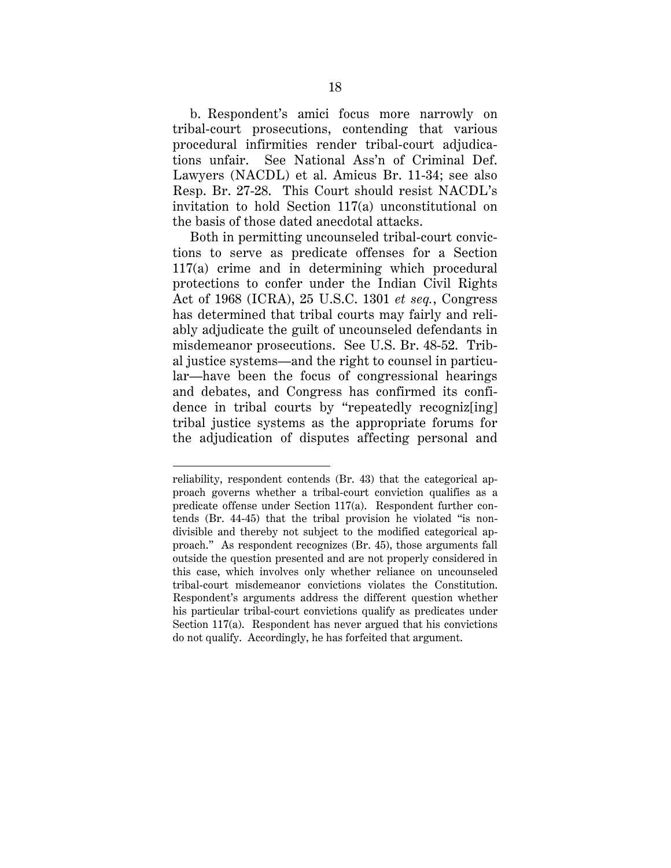b. Respondent's amici focus more narrowly on tribal-court prosecutions, contending that various procedural infirmities render tribal-court adjudications unfair. See National Ass'n of Criminal Def. Lawyers (NACDL) et al. Amicus Br. 11-34; see also Resp. Br. 27-28. This Court should resist NACDL's invitation to hold Section 117(a) unconstitutional on the basis of those dated anecdotal attacks.

Both in permitting uncounseled tribal-court convictions to serve as predicate offenses for a Section 117(a) crime and in determining which procedural protections to confer under the Indian Civil Rights Act of 1968 (ICRA), 25 U.S.C. 1301 *et seq.*, Congress has determined that tribal courts may fairly and reliably adjudicate the guilt of uncounseled defendants in misdemeanor prosecutions. See U.S. Br. 48-52. Tribal justice systems—and the right to counsel in particular—have been the focus of congressional hearings and debates, and Congress has confirmed its confidence in tribal courts by "repeatedly recogniz[ing] tribal justice systems as the appropriate forums for the adjudication of disputes affecting personal and

 $\ddot{\phantom{a}}$ 

reliability, respondent contends (Br. 43) that the categorical approach governs whether a tribal-court conviction qualifies as a predicate offense under Section 117(a). Respondent further contends (Br. 44-45) that the tribal provision he violated "is nondivisible and thereby not subject to the modified categorical approach." As respondent recognizes (Br. 45), those arguments fall outside the question presented and are not properly considered in this case, which involves only whether reliance on uncounseled tribal-court misdemeanor convictions violates the Constitution. Respondent's arguments address the different question whether his particular tribal-court convictions qualify as predicates under Section 117(a). Respondent has never argued that his convictions do not qualify. Accordingly, he has forfeited that argument.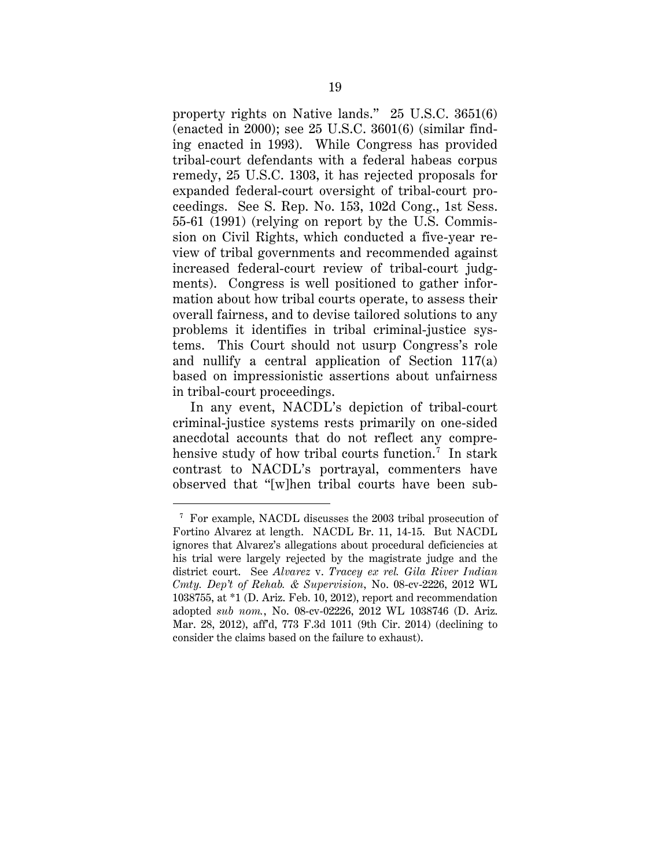property rights on Native lands." 25 U.S.C. 3651(6) (enacted in 2000); see 25 U.S.C. 3601(6) (similar finding enacted in 1993). While Congress has provided tribal-court defendants with a federal habeas corpus remedy, 25 U.S.C. 1303, it has rejected proposals for expanded federal-court oversight of tribal-court proceedings. See S. Rep. No. 153, 102d Cong., 1st Sess. 55-61 (1991) (relying on report by the U.S. Commission on Civil Rights, which conducted a five-year review of tribal governments and recommended against increased federal-court review of tribal-court judgments). Congress is well positioned to gather information about how tribal courts operate, to assess their overall fairness, and to devise tailored solutions to any problems it identifies in tribal criminal-justice systems. This Court should not usurp Congress's role and nullify a central application of Section 117(a) based on impressionistic assertions about unfairness in tribal-court proceedings.

In any event, NACDL's depiction of tribal-court criminal-justice systems rests primarily on one-sided anecdotal accounts that do not reflect any compre-hensive study of how tribal courts function.<sup>[7](#page-22-0)</sup> In stark contrast to NACDL's portrayal, commenters have observed that "[w]hen tribal courts have been sub-

<span id="page-22-0"></span> $^7\,$  For example, NACDL discusses the 2003 tribal prosecution of Fortino Alvarez at length. NACDL Br. 11, 14-15. But NACDL ignores that Alvarez's allegations about procedural deficiencies at his trial were largely rejected by the magistrate judge and the district court. See *Alvarez* v. *Tracey ex rel. Gila River Indian Cmty. Dep't of Rehab. & Supervision*, No. 08-cv-2226, 2012 WL 1038755, at \*1 (D. Ariz. Feb. 10, 2012), report and recommendation adopted *sub nom.*, No. 08-cv-02226, 2012 WL 1038746 (D. Ariz. Mar. 28, 2012), aff'd, 773 F.3d 1011 (9th Cir. 2014) (declining to consider the claims based on the failure to exhaust).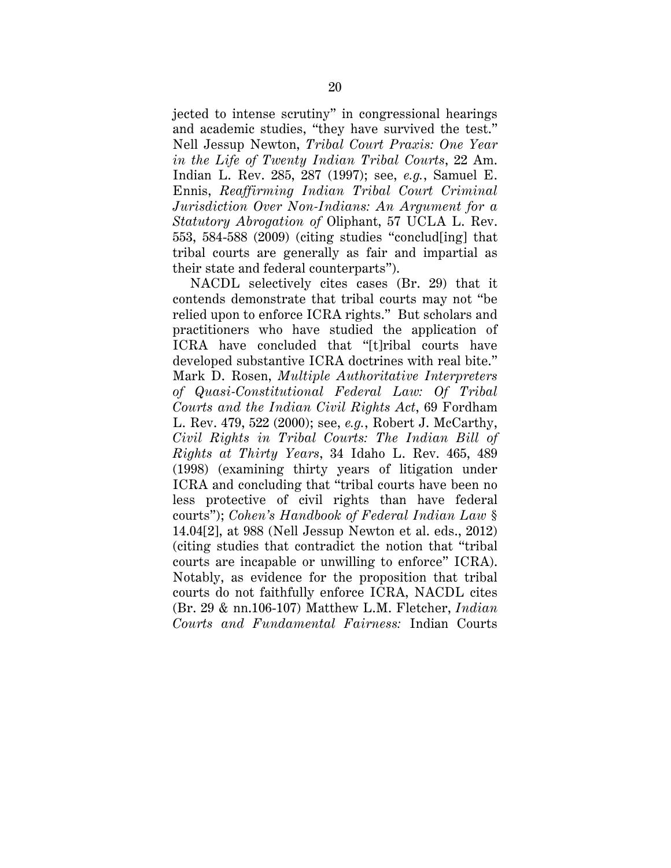jected to intense scrutiny" in congressional hearings and academic studies, "they have survived the test." Nell Jessup Newton, *Tribal Court Praxis: One Year in the Life of Twenty Indian Tribal Courts*, 22 Am. Indian L. Rev. 285, 287 (1997); see, *e.g.*, Samuel E. Ennis, *Reaffirming Indian Tribal Court Criminal Jurisdiction Over Non-Indians: An Argument for a Statutory Abrogation of* Oliphant, 57 UCLA L. Rev. 553, 584-588 (2009) (citing studies "conclud[ing] that tribal courts are generally as fair and impartial as their state and federal counterparts").

NACDL selectively cites cases (Br. 29) that it contends demonstrate that tribal courts may not "be relied upon to enforce ICRA rights." But scholars and practitioners who have studied the application of ICRA have concluded that "[t]ribal courts have developed substantive ICRA doctrines with real bite." Mark D. Rosen, *Multiple Authoritative Interpreters of Quasi-Constitutional Federal Law: Of Tribal Courts and the Indian Civil Rights Act*, 69 Fordham L. Rev. 479, 522 (2000); see, *e.g.*, Robert J. McCarthy, *Civil Rights in Tribal Courts: The Indian Bill of Rights at Thirty Years*, 34 Idaho L. Rev. 465, 489 (1998) (examining thirty years of litigation under ICRA and concluding that "tribal courts have been no less protective of civil rights than have federal courts"); *Cohen's Handbook of Federal Indian Law* § 14.04[2], at 988 (Nell Jessup Newton et al. eds., 2012) (citing studies that contradict the notion that "tribal courts are incapable or unwilling to enforce" ICRA). Notably, as evidence for the proposition that tribal courts do not faithfully enforce ICRA, NACDL cites (Br. 29 & nn.106-107) Matthew L.M. Fletcher, *Indian Courts and Fundamental Fairness:* Indian Courts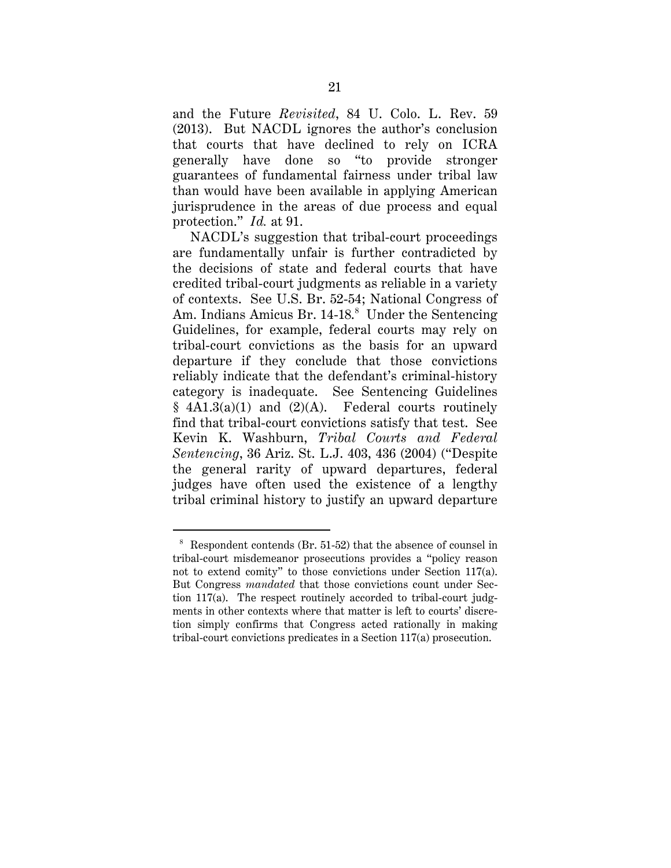and the Future *Revisited*, 84 U. Colo. L. Rev. 59 (2013). But NACDL ignores the author's conclusion that courts that have declined to rely on ICRA generally have done so "to provide stronger guarantees of fundamental fairness under tribal law than would have been available in applying American jurisprudence in the areas of due process and equal protection." *Id.* at 91.

NACDL's suggestion that tribal-court proceedings are fundamentally unfair is further contradicted by the decisions of state and federal courts that have credited tribal-court judgments as reliable in a variety of contexts. See U.S. Br. 52-54; National Congress of Am. Indians Amicus Br. 14-1[8](#page-24-0).<sup>8</sup> Under the Sentencing Guidelines, for example, federal courts may rely on tribal-court convictions as the basis for an upward departure if they conclude that those convictions reliably indicate that the defendant's criminal-history category is inadequate. See Sentencing Guidelines  $§$  4A1.3(a)(1) and (2)(A). Federal courts routinely find that tribal-court convictions satisfy that test. See Kevin K. Washburn, *Tribal Courts and Federal Sentencing*, 36 Ariz. St. L.J. 403, 436 (2004) ("Despite the general rarity of upward departures, federal judges have often used the existence of a lengthy tribal criminal history to justify an upward departure

<span id="page-24-0"></span> <sup>8</sup> Respondent contends (Br. 51-52) that the absence of counsel in tribal-court misdemeanor prosecutions provides a "policy reason not to extend comity" to those convictions under Section 117(a). But Congress *mandated* that those convictions count under Section 117(a). The respect routinely accorded to tribal-court judgments in other contexts where that matter is left to courts' discretion simply confirms that Congress acted rationally in making tribal-court convictions predicates in a Section 117(a) prosecution.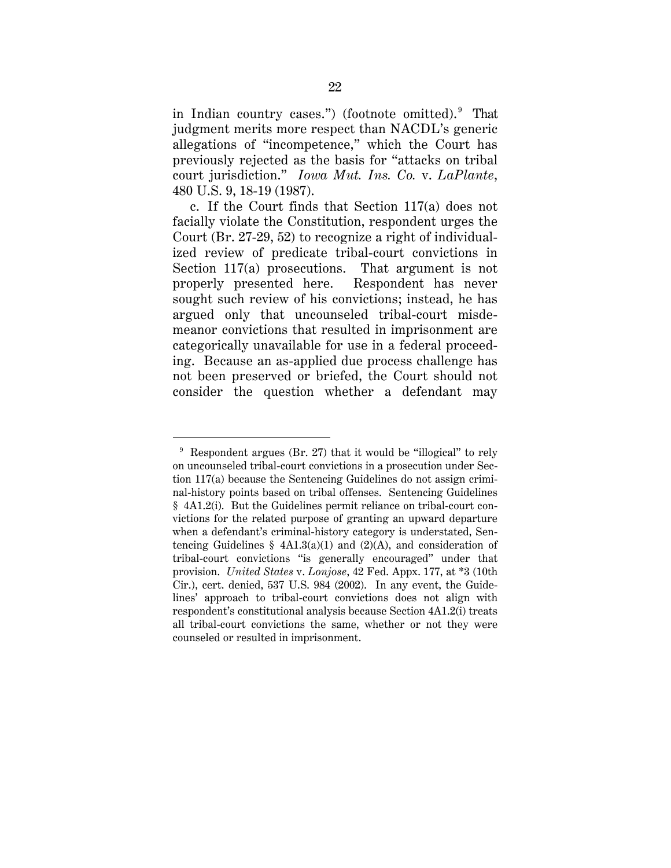in Indian country cases.") (footnote omitted). [9](#page-25-0) That judgment merits more respect than NACDL's generic allegations of "incompetence," which the Court has previously rejected as the basis for "attacks on tribal court jurisdiction." *Iowa Mut. Ins. Co.* v. *LaPlante*, 480 U.S. 9, 18-19 (1987).

c. If the Court finds that Section 117(a) does not facially violate the Constitution, respondent urges the Court (Br. 27-29, 52) to recognize a right of individualized review of predicate tribal-court convictions in Section 117(a) prosecutions. That argument is not properly presented here. Respondent has never sought such review of his convictions; instead, he has argued only that uncounseled tribal-court misdemeanor convictions that resulted in imprisonment are categorically unavailable for use in a federal proceeding. Because an as-applied due process challenge has not been preserved or briefed, the Court should not consider the question whether a defendant may

<span id="page-25-0"></span> $9$  Respondent argues (Br. 27) that it would be "illogical" to rely on uncounseled tribal-court convictions in a prosecution under Section 117(a) because the Sentencing Guidelines do not assign criminal-history points based on tribal offenses. Sentencing Guidelines § 4A1.2(i). But the Guidelines permit reliance on tribal-court convictions for the related purpose of granting an upward departure when a defendant's criminal-history category is understated, Sentencing Guidelines §  $4A1.3(a)(1)$  and  $(2)(A)$ , and consideration of tribal-court convictions "is generally encouraged" under that provision. *United States* v. *Lonjose*, 42 Fed. Appx. 177, at \*3 (10th Cir.), cert. denied, 537 U.S. 984 (2002). In any event, the Guidelines' approach to tribal-court convictions does not align with respondent's constitutional analysis because Section 4A1.2(i) treats all tribal-court convictions the same, whether or not they were counseled or resulted in imprisonment.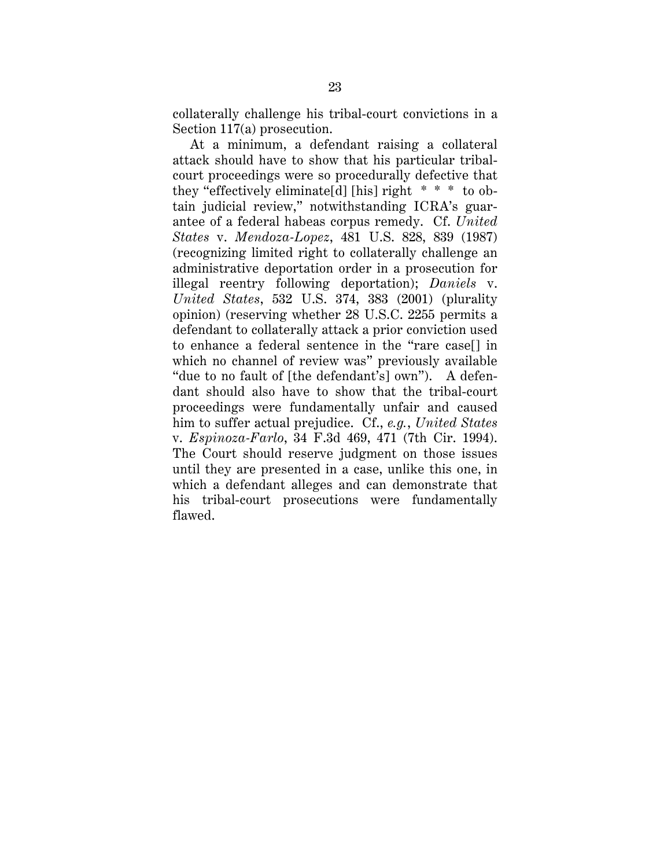collaterally challenge his tribal-court convictions in a Section 117(a) prosecution.

At a minimum, a defendant raising a collateral attack should have to show that his particular tribalcourt proceedings were so procedurally defective that they "effectively eliminate[d] [his] right \* \* \* to obtain judicial review," notwithstanding ICRA's guarantee of a federal habeas corpus remedy. Cf. *United States* v. *Mendoza-Lopez*, 481 U.S. 828, 839 (1987) (recognizing limited right to collaterally challenge an administrative deportation order in a prosecution for illegal reentry following deportation); *Daniels* v. *United States*, 532 U.S. 374, 383 (2001) (plurality opinion) (reserving whether 28 U.S.C. 2255 permits a defendant to collaterally attack a prior conviction used to enhance a federal sentence in the "rare case[] in which no channel of review was" previously available "due to no fault of [the defendant's] own"). A defendant should also have to show that the tribal-court proceedings were fundamentally unfair and caused him to suffer actual prejudice. Cf., *e.g.*, *United States*  v. *Espinoza-Farlo*, 34 F.3d 469, 471 (7th Cir. 1994). The Court should reserve judgment on those issues until they are presented in a case, unlike this one, in which a defendant alleges and can demonstrate that his tribal-court prosecutions were fundamentally flawed.